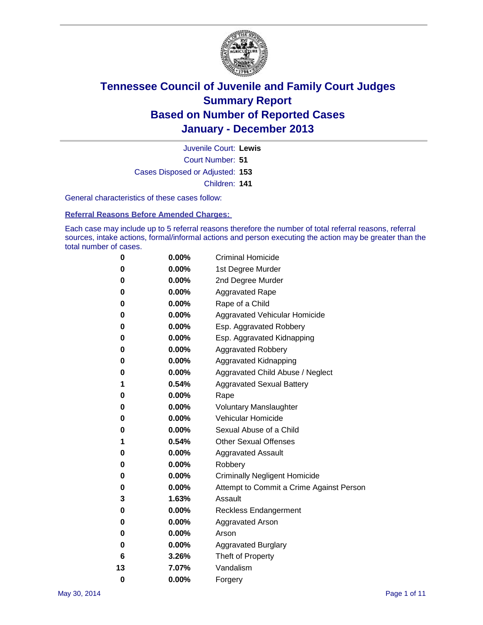

Court Number: **51** Juvenile Court: **Lewis** Cases Disposed or Adjusted: **153** Children: **141**

General characteristics of these cases follow:

**Referral Reasons Before Amended Charges:** 

Each case may include up to 5 referral reasons therefore the number of total referral reasons, referral sources, intake actions, formal/informal actions and person executing the action may be greater than the total number of cases.

| 0        | $0.00\%$ | <b>Criminal Homicide</b>                 |
|----------|----------|------------------------------------------|
| 0        | 0.00%    | 1st Degree Murder                        |
| 0        | 0.00%    | 2nd Degree Murder                        |
| 0        | $0.00\%$ | <b>Aggravated Rape</b>                   |
| 0        | 0.00%    | Rape of a Child                          |
| 0        | 0.00%    | <b>Aggravated Vehicular Homicide</b>     |
| 0        | $0.00\%$ | Esp. Aggravated Robbery                  |
| 0        | 0.00%    | Esp. Aggravated Kidnapping               |
| 0        | 0.00%    | <b>Aggravated Robbery</b>                |
| 0        | $0.00\%$ | Aggravated Kidnapping                    |
| 0        | 0.00%    | Aggravated Child Abuse / Neglect         |
| 1        | 0.54%    | <b>Aggravated Sexual Battery</b>         |
| 0        | $0.00\%$ | Rape                                     |
| 0        | 0.00%    | <b>Voluntary Manslaughter</b>            |
| 0        | 0.00%    | Vehicular Homicide                       |
| 0        | $0.00\%$ | Sexual Abuse of a Child                  |
| 1        | 0.54%    | <b>Other Sexual Offenses</b>             |
| 0        | 0.00%    | <b>Aggravated Assault</b>                |
| 0        | 0.00%    | Robbery                                  |
| 0        | 0.00%    | <b>Criminally Negligent Homicide</b>     |
| 0        | 0.00%    | Attempt to Commit a Crime Against Person |
| 3        | 1.63%    | Assault                                  |
| 0        | 0.00%    | <b>Reckless Endangerment</b>             |
| 0        | 0.00%    | <b>Aggravated Arson</b>                  |
| 0        | $0.00\%$ | Arson                                    |
| 0        | 0.00%    | <b>Aggravated Burglary</b>               |
| 6        | 3.26%    | Theft of Property                        |
| 13       | 7.07%    | Vandalism                                |
| $\bf{0}$ | 0.00%    | Forgery                                  |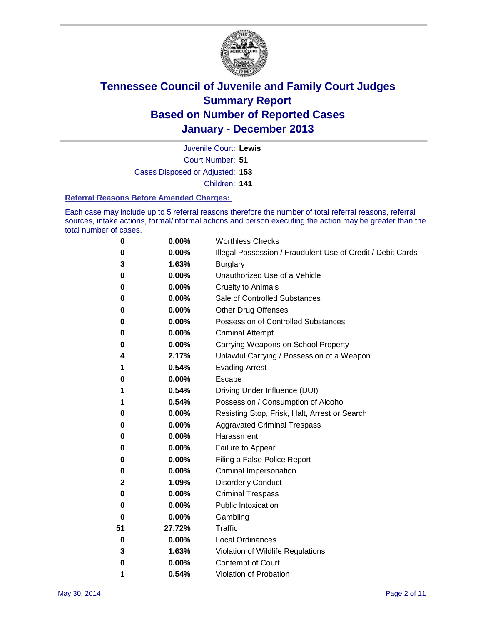

Court Number: **51** Juvenile Court: **Lewis** Cases Disposed or Adjusted: **153** Children: **141**

#### **Referral Reasons Before Amended Charges:**

Each case may include up to 5 referral reasons therefore the number of total referral reasons, referral sources, intake actions, formal/informal actions and person executing the action may be greater than the total number of cases.

| 0  | 0.00%  | <b>Worthless Checks</b>                                     |
|----|--------|-------------------------------------------------------------|
| 0  | 0.00%  | Illegal Possession / Fraudulent Use of Credit / Debit Cards |
| 3  | 1.63%  | <b>Burglary</b>                                             |
| 0  | 0.00%  | Unauthorized Use of a Vehicle                               |
| 0  | 0.00%  | <b>Cruelty to Animals</b>                                   |
| 0  | 0.00%  | Sale of Controlled Substances                               |
| 0  | 0.00%  | <b>Other Drug Offenses</b>                                  |
| 0  | 0.00%  | Possession of Controlled Substances                         |
| 0  | 0.00%  | <b>Criminal Attempt</b>                                     |
| 0  | 0.00%  | Carrying Weapons on School Property                         |
| 4  | 2.17%  | Unlawful Carrying / Possession of a Weapon                  |
| 1  | 0.54%  | <b>Evading Arrest</b>                                       |
| 0  | 0.00%  | Escape                                                      |
| 1  | 0.54%  | Driving Under Influence (DUI)                               |
| 1  | 0.54%  | Possession / Consumption of Alcohol                         |
| 0  | 0.00%  | Resisting Stop, Frisk, Halt, Arrest or Search               |
| 0  | 0.00%  | <b>Aggravated Criminal Trespass</b>                         |
| 0  | 0.00%  | Harassment                                                  |
| 0  | 0.00%  | Failure to Appear                                           |
| 0  | 0.00%  | Filing a False Police Report                                |
| 0  | 0.00%  | Criminal Impersonation                                      |
| 2  | 1.09%  | <b>Disorderly Conduct</b>                                   |
| 0  | 0.00%  | <b>Criminal Trespass</b>                                    |
| 0  | 0.00%  | <b>Public Intoxication</b>                                  |
| 0  | 0.00%  | Gambling                                                    |
| 51 | 27.72% | Traffic                                                     |
| 0  | 0.00%  | <b>Local Ordinances</b>                                     |
| 3  | 1.63%  | Violation of Wildlife Regulations                           |
| 0  | 0.00%  | <b>Contempt of Court</b>                                    |
| 1  | 0.54%  | Violation of Probation                                      |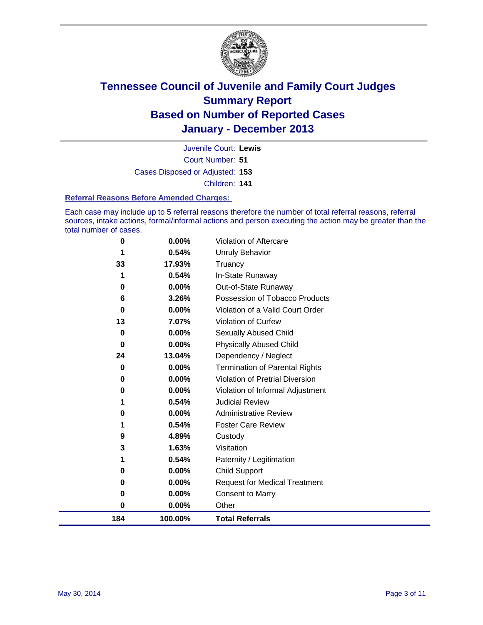

Court Number: **51** Juvenile Court: **Lewis** Cases Disposed or Adjusted: **153** Children: **141**

#### **Referral Reasons Before Amended Charges:**

Each case may include up to 5 referral reasons therefore the number of total referral reasons, referral sources, intake actions, formal/informal actions and person executing the action may be greater than the total number of cases.

| 3<br>0<br>$\bf{0}$<br>0<br>0 | 1.63%<br>0.54%<br>0.00%<br>0.00%<br>0.00%<br>$0.00\%$ | Visitation<br>Paternity / Legitimation<br><b>Child Support</b><br><b>Request for Medical Treatment</b><br><b>Consent to Marry</b><br>Other |
|------------------------------|-------------------------------------------------------|--------------------------------------------------------------------------------------------------------------------------------------------|
|                              |                                                       |                                                                                                                                            |
|                              |                                                       |                                                                                                                                            |
|                              |                                                       |                                                                                                                                            |
|                              |                                                       |                                                                                                                                            |
|                              |                                                       |                                                                                                                                            |
|                              |                                                       |                                                                                                                                            |
|                              | 4.89%                                                 | Custody                                                                                                                                    |
| 1                            | 0.54%                                                 | <b>Foster Care Review</b>                                                                                                                  |
| 0                            | 0.00%                                                 | <b>Administrative Review</b>                                                                                                               |
| 1                            | 0.54%                                                 | <b>Judicial Review</b>                                                                                                                     |
| 0                            | 0.00%                                                 | Violation of Informal Adjustment                                                                                                           |
| 0                            | 0.00%                                                 | <b>Violation of Pretrial Diversion</b>                                                                                                     |
| 0                            | $0.00\%$                                              | <b>Termination of Parental Rights</b>                                                                                                      |
|                              |                                                       | Dependency / Neglect                                                                                                                       |
| 0                            |                                                       | <b>Physically Abused Child</b>                                                                                                             |
| 0                            |                                                       | Sexually Abused Child                                                                                                                      |
|                              |                                                       | Violation of Curfew                                                                                                                        |
|                              |                                                       | Violation of a Valid Court Order                                                                                                           |
|                              |                                                       | Possession of Tobacco Products                                                                                                             |
|                              |                                                       | Out-of-State Runaway                                                                                                                       |
|                              |                                                       | Truancy<br>In-State Runaway                                                                                                                |
|                              |                                                       | Unruly Behavior                                                                                                                            |
|                              |                                                       | Violation of Aftercare                                                                                                                     |
|                              | 0<br>1<br>33<br>1<br>0<br>6<br>0<br>13<br>24<br>9     | 0.00%<br>0.54%<br>17.93%<br>0.54%<br>$0.00\%$<br>3.26%<br>0.00%<br>7.07%<br>$0.00\%$<br>0.00%<br>13.04%                                    |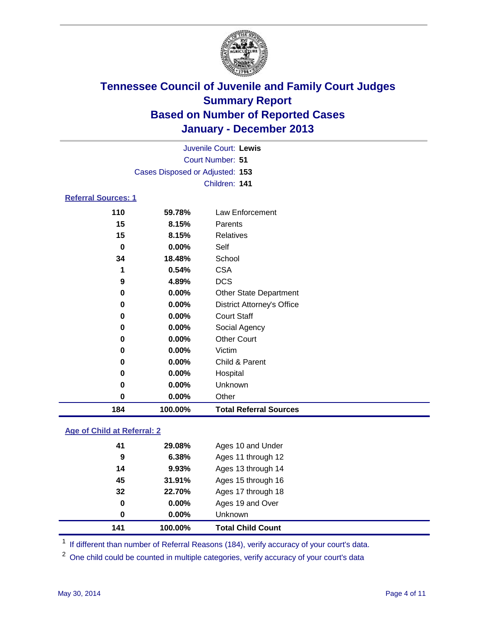

|                            |                                 | Juvenile Court: Lewis             |
|----------------------------|---------------------------------|-----------------------------------|
|                            |                                 | <b>Court Number: 51</b>           |
|                            | Cases Disposed or Adjusted: 153 |                                   |
|                            |                                 | Children: 141                     |
| <b>Referral Sources: 1</b> |                                 |                                   |
| 110                        | 59.78%                          | Law Enforcement                   |
| 15                         | 8.15%                           | Parents                           |
| 15                         | 8.15%                           | <b>Relatives</b>                  |
| $\bf{0}$                   | 0.00%                           | Self                              |
| 34                         | 18.48%                          | School                            |
| 1                          | 0.54%                           | <b>CSA</b>                        |
| 9                          | 4.89%                           | <b>DCS</b>                        |
| 0                          | 0.00%                           | Other State Department            |
| 0                          | 0.00%                           | <b>District Attorney's Office</b> |
| 0                          | 0.00%                           | <b>Court Staff</b>                |
| 0                          | 0.00%                           | Social Agency                     |
| 0                          | 0.00%                           | <b>Other Court</b>                |
| 0                          | 0.00%                           | Victim                            |
| 0                          | 0.00%                           | Child & Parent                    |
| 0                          | 0.00%                           | Hospital                          |
| $\bf{0}$                   | 0.00%                           | Unknown                           |
| 0                          | 0.00%                           | Other                             |
| 184                        | 100.00%                         | <b>Total Referral Sources</b>     |

### **Age of Child at Referral: 2**

| 141 | 100.00%  | <b>Total Child Count</b> |
|-----|----------|--------------------------|
| 0   | 0.00%    | <b>Unknown</b>           |
| 0   | $0.00\%$ | Ages 19 and Over         |
| 32  | 22.70%   | Ages 17 through 18       |
| 45  | 31.91%   | Ages 15 through 16       |
| 14  | 9.93%    | Ages 13 through 14       |
| 9   | 6.38%    | Ages 11 through 12       |
| 41  | 29.08%   | Ages 10 and Under        |
|     |          |                          |

<sup>1</sup> If different than number of Referral Reasons (184), verify accuracy of your court's data.

<sup>2</sup> One child could be counted in multiple categories, verify accuracy of your court's data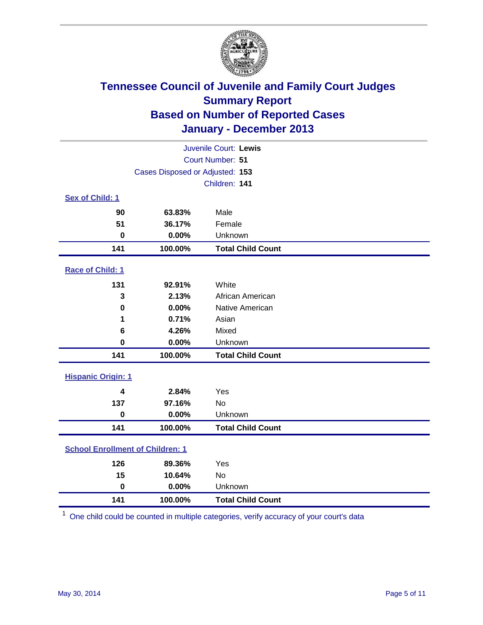

| Juvenile Court: Lewis                   |                                 |                          |  |  |  |
|-----------------------------------------|---------------------------------|--------------------------|--|--|--|
| Court Number: 51                        |                                 |                          |  |  |  |
|                                         | Cases Disposed or Adjusted: 153 |                          |  |  |  |
|                                         |                                 | Children: 141            |  |  |  |
| Sex of Child: 1                         |                                 |                          |  |  |  |
| 90                                      | 63.83%                          | Male                     |  |  |  |
| 51                                      | 36.17%                          | Female                   |  |  |  |
| $\mathbf 0$                             | 0.00%                           | Unknown                  |  |  |  |
| 141                                     | 100.00%                         | <b>Total Child Count</b> |  |  |  |
| Race of Child: 1                        |                                 |                          |  |  |  |
| 131                                     | 92.91%                          | White                    |  |  |  |
| 3                                       | 2.13%                           | African American         |  |  |  |
| $\mathbf 0$                             | 0.00%                           | Native American          |  |  |  |
| 1                                       | 0.71%                           | Asian                    |  |  |  |
| 6                                       | 4.26%                           | Mixed                    |  |  |  |
| $\bf{0}$                                | 0.00%                           | Unknown                  |  |  |  |
| 141                                     | 100.00%                         | <b>Total Child Count</b> |  |  |  |
| <b>Hispanic Origin: 1</b>               |                                 |                          |  |  |  |
| $\overline{\mathbf{4}}$                 | 2.84%                           | Yes                      |  |  |  |
| 137                                     | 97.16%                          | <b>No</b>                |  |  |  |
| $\bf{0}$                                | 0.00%                           | Unknown                  |  |  |  |
| 141                                     | 100.00%                         | <b>Total Child Count</b> |  |  |  |
| <b>School Enrollment of Children: 1</b> |                                 |                          |  |  |  |
| 126                                     | 89.36%                          | Yes                      |  |  |  |
| 15                                      | 10.64%                          | <b>No</b>                |  |  |  |
| $\mathbf 0$                             | 0.00%                           | Unknown                  |  |  |  |
| 141                                     | 100.00%                         | <b>Total Child Count</b> |  |  |  |

One child could be counted in multiple categories, verify accuracy of your court's data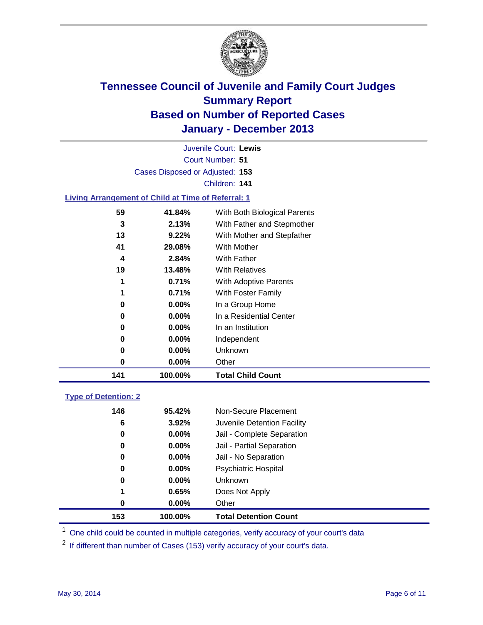

Court Number: **51** Juvenile Court: **Lewis** Cases Disposed or Adjusted: **153** Children: **141**

### **Living Arrangement of Child at Time of Referral: 1**

| 141 | 100.00%  | <b>Total Child Count</b>     |
|-----|----------|------------------------------|
| 0   | $0.00\%$ | Other                        |
| 0   | 0.00%    | Unknown                      |
| 0   | $0.00\%$ | Independent                  |
| 0   | 0.00%    | In an Institution            |
| 0   | 0.00%    | In a Residential Center      |
| 0   | $0.00\%$ | In a Group Home              |
| 1   | 0.71%    | With Foster Family           |
| 1   | 0.71%    | <b>With Adoptive Parents</b> |
| 19  | 13.48%   | <b>With Relatives</b>        |
| 4   | 2.84%    | With Father                  |
| 41  | 29.08%   | <b>With Mother</b>           |
| 13  | 9.22%    | With Mother and Stepfather   |
| 3   | 2.13%    | With Father and Stepmother   |
| 59  | 41.84%   | With Both Biological Parents |
|     |          |                              |

### **Type of Detention: 2**

| 153 | 100.00%  | <b>Total Detention Count</b> |
|-----|----------|------------------------------|
| 0   | 0.00%    | Other                        |
| 1   | 0.65%    | Does Not Apply               |
| 0   | $0.00\%$ | <b>Unknown</b>               |
| 0   | $0.00\%$ | Psychiatric Hospital         |
| 0   | 0.00%    | Jail - No Separation         |
| 0   | $0.00\%$ | Jail - Partial Separation    |
| 0   | 0.00%    | Jail - Complete Separation   |
| 6   | 3.92%    | Juvenile Detention Facility  |
| 146 | 95.42%   | Non-Secure Placement         |
|     |          |                              |

<sup>1</sup> One child could be counted in multiple categories, verify accuracy of your court's data

If different than number of Cases (153) verify accuracy of your court's data.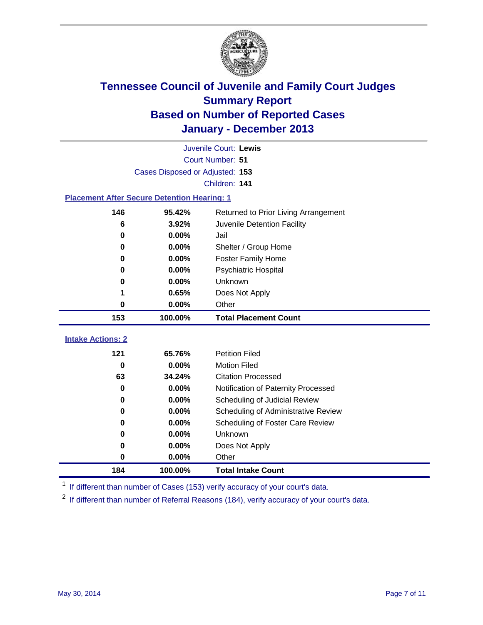

| Juvenile Court: Lewis                              |                                 |                                      |  |  |  |  |  |
|----------------------------------------------------|---------------------------------|--------------------------------------|--|--|--|--|--|
|                                                    | Court Number: 51                |                                      |  |  |  |  |  |
|                                                    | Cases Disposed or Adjusted: 153 |                                      |  |  |  |  |  |
| Children: 141                                      |                                 |                                      |  |  |  |  |  |
| <b>Placement After Secure Detention Hearing: 1</b> |                                 |                                      |  |  |  |  |  |
| 146                                                | 95.42%                          | Returned to Prior Living Arrangement |  |  |  |  |  |
| 6                                                  | 3.92%                           | Juvenile Detention Facility          |  |  |  |  |  |
| 0                                                  | 0.00%                           | Jail                                 |  |  |  |  |  |
| 0                                                  | 0.00%                           | Shelter / Group Home                 |  |  |  |  |  |
| $\bf{0}$                                           | 0.00%                           | Foster Family Home                   |  |  |  |  |  |
| 0                                                  | 0.00%                           | Psychiatric Hospital                 |  |  |  |  |  |
| 0                                                  | 0.00%                           | Unknown                              |  |  |  |  |  |
| 1                                                  | 0.65%                           | Does Not Apply                       |  |  |  |  |  |
| 0                                                  | $0.00\%$                        | Other                                |  |  |  |  |  |
| 153                                                | 100.00%                         | <b>Total Placement Count</b>         |  |  |  |  |  |
| <b>Intake Actions: 2</b>                           |                                 |                                      |  |  |  |  |  |
|                                                    |                                 |                                      |  |  |  |  |  |
| 121                                                | 65.76%                          | <b>Petition Filed</b>                |  |  |  |  |  |
| $\bf{0}$                                           | 0.00%                           | <b>Motion Filed</b>                  |  |  |  |  |  |
| 63                                                 | 34.24%                          | <b>Citation Processed</b>            |  |  |  |  |  |
| 0                                                  | 0.00%                           | Notification of Paternity Processed  |  |  |  |  |  |
| 0                                                  | 0.00%                           | Scheduling of Judicial Review        |  |  |  |  |  |
| $\bf{0}$                                           | 0.00%                           | Scheduling of Administrative Review  |  |  |  |  |  |
| 0                                                  | 0.00%                           | Scheduling of Foster Care Review     |  |  |  |  |  |
| 0                                                  | 0.00%                           | <b>Unknown</b>                       |  |  |  |  |  |
| 0                                                  |                                 |                                      |  |  |  |  |  |
|                                                    | 0.00%                           | Does Not Apply                       |  |  |  |  |  |
| 0                                                  | 0.00%                           | Other                                |  |  |  |  |  |

<sup>1</sup> If different than number of Cases (153) verify accuracy of your court's data.

<sup>2</sup> If different than number of Referral Reasons (184), verify accuracy of your court's data.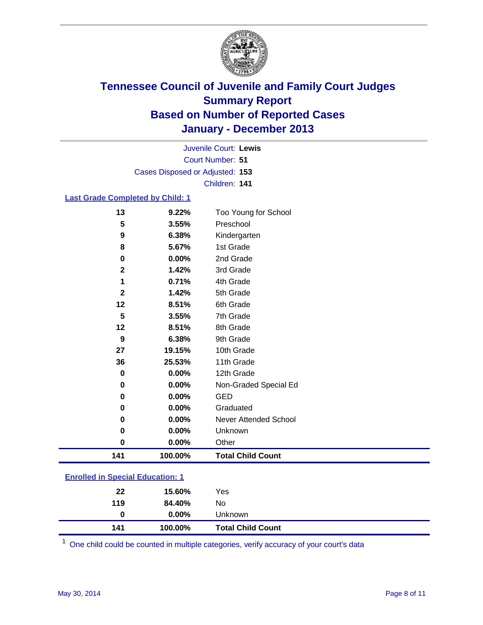

Court Number: **51** Juvenile Court: **Lewis** Cases Disposed or Adjusted: **153** Children: **141**

### **Last Grade Completed by Child: 1**

| 141          | 100.00% | <b>Total Child Count</b>     |
|--------------|---------|------------------------------|
| 0            | 0.00%   | Other                        |
| 0            | 0.00%   | Unknown                      |
| 0            | 0.00%   | <b>Never Attended School</b> |
| 0            | 0.00%   | Graduated                    |
| 0            | 0.00%   | <b>GED</b>                   |
| 0            | 0.00%   | Non-Graded Special Ed        |
| 0            | 0.00%   | 12th Grade                   |
| 36           | 25.53%  | 11th Grade                   |
| 27           | 19.15%  | 10th Grade                   |
| 9            | 6.38%   | 9th Grade                    |
| 12           | 8.51%   | 8th Grade                    |
| 5            | 3.55%   | 7th Grade                    |
| 12           | 8.51%   | 6th Grade                    |
| $\mathbf{2}$ | 1.42%   | 5th Grade                    |
| 1            | 0.71%   | 4th Grade                    |
| $\mathbf 2$  | 1.42%   | 3rd Grade                    |
| 0            | 0.00%   | 2nd Grade                    |
| 8            | 5.67%   | 1st Grade                    |
| 9            | 6.38%   | Kindergarten                 |
| 5            | 3.55%   | Preschool                    |
| 13           | 9.22%   | Too Young for School         |

| 119<br>84.40%<br>$0.00\%$<br>0 | No<br>Unknown |  |
|--------------------------------|---------------|--|
|                                |               |  |

One child could be counted in multiple categories, verify accuracy of your court's data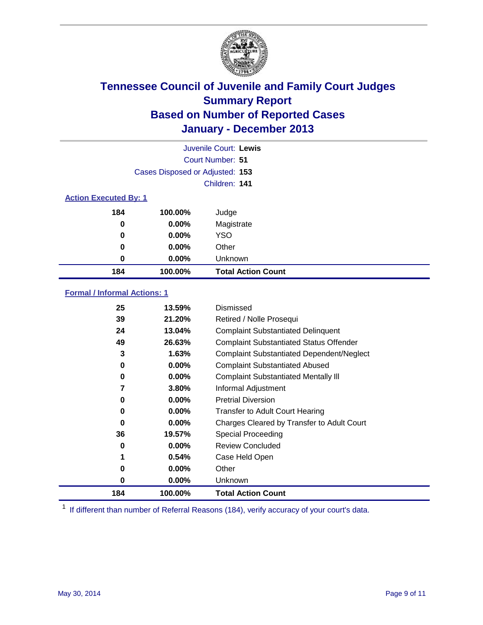

|                              |                                 | Juvenile Court: Lewis     |  |  |  |
|------------------------------|---------------------------------|---------------------------|--|--|--|
|                              | Court Number: 51                |                           |  |  |  |
|                              | Cases Disposed or Adjusted: 153 |                           |  |  |  |
|                              |                                 | Children: 141             |  |  |  |
| <b>Action Executed By: 1</b> |                                 |                           |  |  |  |
| 184                          | 100.00%                         | Judge                     |  |  |  |
| 0                            | $0.00\%$                        | Magistrate                |  |  |  |
| 0                            | $0.00\%$                        | <b>YSO</b>                |  |  |  |
| 0                            | $0.00\%$                        | Other                     |  |  |  |
| 0                            | $0.00\%$                        | Unknown                   |  |  |  |
| 184                          | 100.00%                         | <b>Total Action Count</b> |  |  |  |

### **Formal / Informal Actions: 1**

| 25  | 13.59%   | Dismissed                                        |
|-----|----------|--------------------------------------------------|
| 39  | 21.20%   | Retired / Nolle Prosequi                         |
| 24  | 13.04%   | <b>Complaint Substantiated Delinquent</b>        |
| 49  | 26.63%   | <b>Complaint Substantiated Status Offender</b>   |
| 3   | 1.63%    | <b>Complaint Substantiated Dependent/Neglect</b> |
| 0   | $0.00\%$ | <b>Complaint Substantiated Abused</b>            |
| 0   | $0.00\%$ | <b>Complaint Substantiated Mentally III</b>      |
| 7   | 3.80%    | Informal Adjustment                              |
| 0   | 0.00%    | <b>Pretrial Diversion</b>                        |
| 0   | 0.00%    | <b>Transfer to Adult Court Hearing</b>           |
| 0   | 0.00%    | Charges Cleared by Transfer to Adult Court       |
| 36  | 19.57%   | Special Proceeding                               |
| 0   | $0.00\%$ | <b>Review Concluded</b>                          |
| 1   | 0.54%    | Case Held Open                                   |
| 0   | $0.00\%$ | Other                                            |
| 0   | $0.00\%$ | Unknown                                          |
| 184 | 100.00%  | <b>Total Action Count</b>                        |

<sup>1</sup> If different than number of Referral Reasons (184), verify accuracy of your court's data.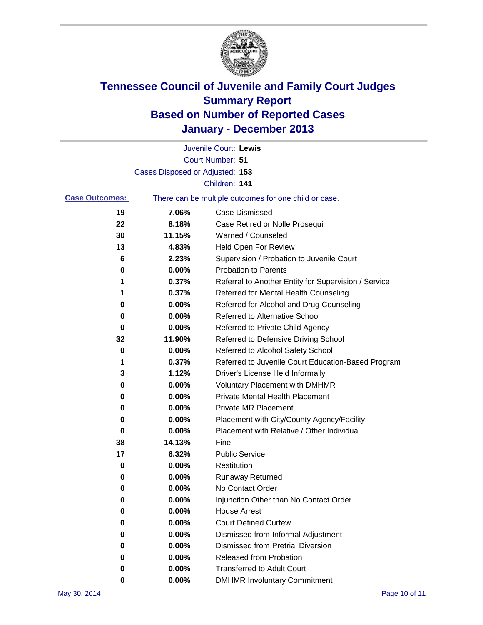

|                       |                                 | Juvenile Court: Lewis                                 |
|-----------------------|---------------------------------|-------------------------------------------------------|
|                       |                                 | <b>Court Number: 51</b>                               |
|                       | Cases Disposed or Adjusted: 153 |                                                       |
|                       |                                 | Children: 141                                         |
| <b>Case Outcomes:</b> |                                 | There can be multiple outcomes for one child or case. |
| 19                    | 7.06%                           | Case Dismissed                                        |
| 22                    | 8.18%                           | Case Retired or Nolle Prosequi                        |
| 30                    | 11.15%                          | Warned / Counseled                                    |
| 13                    | 4.83%                           | Held Open For Review                                  |
| 6                     | 2.23%                           | Supervision / Probation to Juvenile Court             |
| 0                     | 0.00%                           | <b>Probation to Parents</b>                           |
| 1                     | 0.37%                           | Referral to Another Entity for Supervision / Service  |
| 1                     | 0.37%                           | Referred for Mental Health Counseling                 |
| 0                     | 0.00%                           | Referred for Alcohol and Drug Counseling              |
| 0                     | 0.00%                           | <b>Referred to Alternative School</b>                 |
| 0                     | 0.00%                           | Referred to Private Child Agency                      |
| 32                    | 11.90%                          | Referred to Defensive Driving School                  |
| 0                     | 0.00%                           | Referred to Alcohol Safety School                     |
| 1                     | 0.37%                           | Referred to Juvenile Court Education-Based Program    |
| 3                     | 1.12%                           | Driver's License Held Informally                      |
| 0                     | 0.00%                           | <b>Voluntary Placement with DMHMR</b>                 |
| 0                     | 0.00%                           | <b>Private Mental Health Placement</b>                |
| 0                     | 0.00%                           | <b>Private MR Placement</b>                           |
| 0                     | 0.00%                           | Placement with City/County Agency/Facility            |
| 0                     | 0.00%                           | Placement with Relative / Other Individual            |
| 38                    | 14.13%                          | Fine                                                  |
| 17                    | 6.32%                           | <b>Public Service</b>                                 |
| 0                     | 0.00%                           | Restitution                                           |
| 0                     | 0.00%                           | <b>Runaway Returned</b>                               |
| 0                     | 0.00%                           | No Contact Order                                      |
| 0                     | 0.00%                           | Injunction Other than No Contact Order                |
| 0                     | 0.00%                           | <b>House Arrest</b>                                   |
| 0                     | 0.00%                           | <b>Court Defined Curfew</b>                           |
| 0                     | 0.00%                           | Dismissed from Informal Adjustment                    |
| 0                     | 0.00%                           | <b>Dismissed from Pretrial Diversion</b>              |
| 0                     | 0.00%                           | Released from Probation                               |
| 0                     | 0.00%                           | <b>Transferred to Adult Court</b>                     |
| 0                     | 0.00%                           | <b>DMHMR Involuntary Commitment</b>                   |